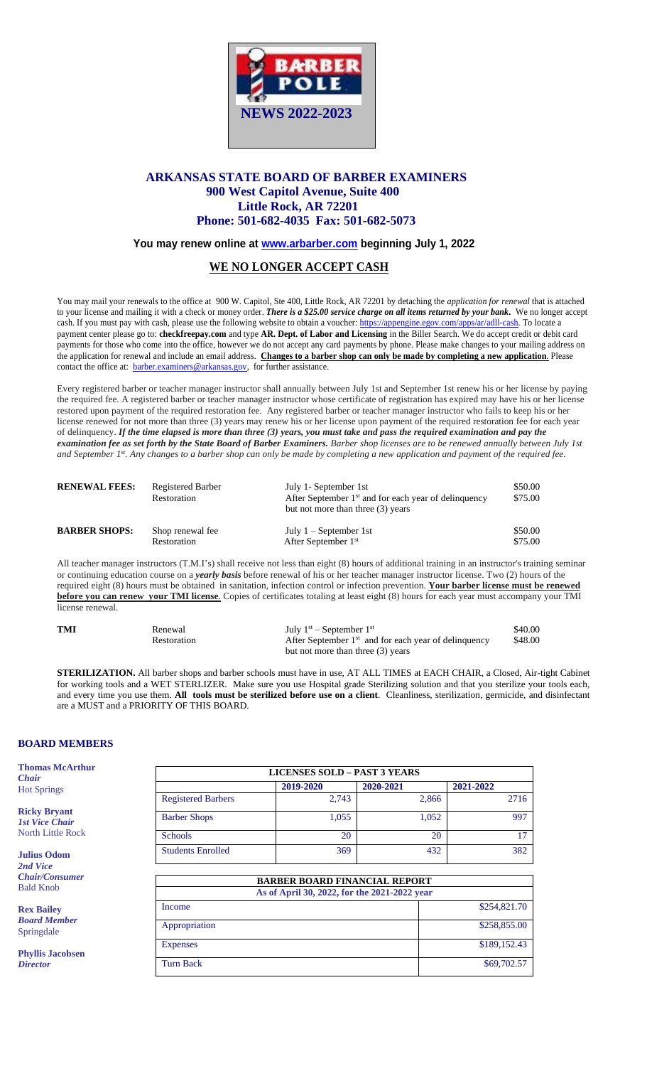

# **ARKANSAS STATE BOARD OF BARBER EXAMINERS 900 West Capitol Avenue, Suite 400 Little Rock, AR 72201 Phone: 501-682-4035 Fax: 501-682-5073**

# **You may renew online at [www.arbarber.com](http://www.arbarber.com/) beginning July 1, 2022**

# **WE NO LONGER ACCEPT CASH**

You may mail your renewals to the office at 900 W. Capitol, Ste 400, Little Rock, AR 72201 by detaching the *application for renewal* that is attached to your license and mailing it with a check or money order. *There is a \$25.00 service charge on all items returned by your bank.* We no longer accept cash. If you must pay with cash, please use the following website to obtain a voucher: [https://appengine.egov.com/apps/ar/adll-cash.](https://appengine.egov.com/apps/ar/adll-cash) To locate a payment center please go to: **checkfreepay.com** and type **AR. Dept. of Labor and Licensing** in the Biller Search. We do accept credit or debit card payments for those who come into the office, however we do not accept any card payments by phone. Please make changes to your mailing address on the application for renewal and include an email address. **Changes to a barber shop can only be made by completing a new application**. Please contact the office at: [barber.examiners@arkansas.gov,](mailto:barber.examiners@arkansas.gov) for further assistance.

Every registered barber or teacher manager instructor shall annually between July 1st and September 1st renew his or her license by paying the required fee. A registered barber or teacher manager instructor whose certificate of registration has expired may have his or her license restored upon payment of the required restoration fee. Any registered barber or teacher manager instructor who fails to keep his or her license renewed for not more than three (3) years may renew his or her license upon payment of the required restoration fee for each year of delinquency. If the time elapsed is more than three (3) years, you must take and pass the required examination and pay the examination fee as set forth by the State Board of Barber Examiners. Barber shop licenses are to be renewed annually between July 1st and September 1<sup>st</sup>. Any changes to a barber shop can only be made by completing a new application and payment of the required fee.

| <b>RENEWAL FEES:</b> | Registered Barber<br>Restoration | July 1- September 1st<br>After September 1 <sup>st</sup> and for each year of delinquency<br>but not more than three (3) years | \$50.00<br>\$75.00 |
|----------------------|----------------------------------|--------------------------------------------------------------------------------------------------------------------------------|--------------------|
| <b>BARBER SHOPS:</b> | Shop renewal fee                 | July $1 -$ September 1st                                                                                                       | \$50.00            |
|                      | Restoration                      | After September 1 <sup>st</sup>                                                                                                | \$75.00            |

All teacher manager instructors (T.M.I's) shall receive not less than eight (8) hours of additional training in an instructor's training seminar or continuing education course on a *yearly basis* before renewal of his or her teacher manager instructor license. Two (2) hours of the required eight (8) hours must be obtained in sanitation, infection control or infection prevention. **Your barber license must be renewed before you can renew your TMI license**. Copies of certificates totaling at least eight (8) hours for each year must accompany your TMI license renewal.

| <b>TMI</b> | Renewal     | July $1st$ – September $1st$                           | \$40.00 |
|------------|-------------|--------------------------------------------------------|---------|
|            | Restoration | After September $1st$ and for each year of delinquency | \$48.00 |
|            |             | but not more than three (3) years                      |         |

**STERILIZATION.** All barber shops and barber schools must have in use, AT ALL TIMES at EACH CHAIR, a Closed, Air-tight Cabinet for working tools and a WET STERLIZER. Make sure you use Hospital grade Sterilizing solution and that you sterilize your tools each, and every time you use them. **All tools must be sterilized before use on a client**. Cleanliness, sterilization, germicide, and disinfectant are a MUST and a PRIORITY OF THIS BOARD.

## **BOARD MEMBERS**

| <b>Thomas McArthur</b><br><b>Chair</b>       | <b>LICENSES SOLD - PAST 3 YEARS</b>          |           |           |              |  |  |
|----------------------------------------------|----------------------------------------------|-----------|-----------|--------------|--|--|
| <b>Hot Springs</b>                           |                                              | 2019-2020 | 2020-2021 | 2021-2022    |  |  |
|                                              | <b>Registered Barbers</b>                    | 2,743     | 2,866     | 2716         |  |  |
| <b>Ricky Bryant</b><br><b>1st Vice Chair</b> | <b>Barber Shops</b>                          | 1,055     | 1,052     | 997          |  |  |
| <b>North Little Rock</b>                     | <b>Schools</b>                               | 20        | 20        | 17           |  |  |
| <b>Julius Odom</b>                           | <b>Students Enrolled</b>                     | 369       | 432       | 382          |  |  |
| 2nd Vice                                     |                                              |           |           |              |  |  |
| <b>Chair/Consumer</b>                        | <b>BARBER BOARD FINANCIAL REPORT</b>         |           |           |              |  |  |
| <b>Bald Knob</b>                             | As of April 30, 2022, for the 2021-2022 year |           |           |              |  |  |
| <b>Rex Bailey</b>                            | Income                                       |           |           | \$254,821.70 |  |  |
| <b>Board Member</b><br>Springdale            | Appropriation                                |           |           | \$258,855.00 |  |  |
| <b>Phyllis Jacobsen</b>                      | <b>Expenses</b>                              |           |           | \$189,152.43 |  |  |
| <b>Director</b>                              | <b>Turn Back</b>                             |           |           | \$69,702.57  |  |  |